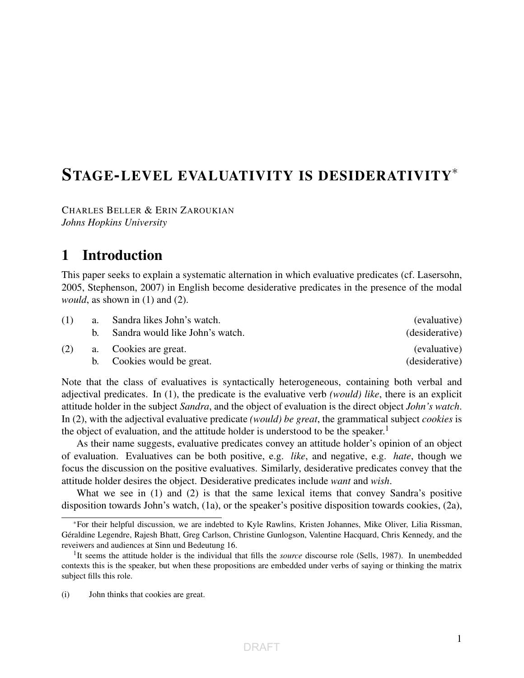# STAGE-LEVEL EVALUATIVITY IS DESIDERATIVITY<sup>∗</sup>

CHARLES BELLER & ERIN ZAROUKIAN *Johns Hopkins University*

## 1 Introduction

This paper seeks to explain a systematic alternation in which evaluative predicates (cf. Lasersohn, 2005, Stephenson, 2007) in English become desiderative predicates in the presence of the modal *would*, as shown in (1) and (2).

| (1) | a. | Sandra likes John's watch.      | (evaluative)   |
|-----|----|---------------------------------|----------------|
|     |    | Sandra would like John's watch. | (desiderative) |
| (2) |    | a. Cookies are great.           | (evaluative)   |
|     |    | b. Cookies would be great.      | (desiderative) |

Note that the class of evaluatives is syntactically heterogeneous, containing both verbal and adjectival predicates. In (1), the predicate is the evaluative verb *(would) like*, there is an explicit attitude holder in the subject *Sandra*, and the object of evaluation is the direct object *John's watch*. In (2), with the adjectival evaluative predicate *(would) be great*, the grammatical subject *cookies* is the object of evaluation, and the attitude holder is understood to be the speaker.<sup>1</sup>

As their name suggests, evaluative predicates convey an attitude holder's opinion of an object of evaluation. Evaluatives can be both positive, e.g. *like*, and negative, e.g. *hate*, though we focus the discussion on the positive evaluatives. Similarly, desiderative predicates convey that the attitude holder desires the object. Desiderative predicates include *want* and *wish*.

What we see in (1) and (2) is that the same lexical items that convey Sandra's positive disposition towards John's watch, (1a), or the speaker's positive disposition towards cookies, (2a),

<sup>∗</sup>For their helpful discussion, we are indebted to Kyle Rawlins, Kristen Johannes, Mike Oliver, Lilia Rissman, Géraldine Legendre, Rajesh Bhatt, Greg Carlson, Christine Gunlogson, Valentine Hacquard, Chris Kennedy, and the reveiwers and audiences at Sinn und Bedeutung 16.

<sup>&</sup>lt;sup>1</sup>It seems the attitude holder is the individual that fills the *source* discourse role (Sells, 1987). In unembedded contexts this is the speaker, but when these propositions are embedded under verbs of saying or thinking the matrix subject fills this role.

<sup>(</sup>i) John thinks that cookies are great.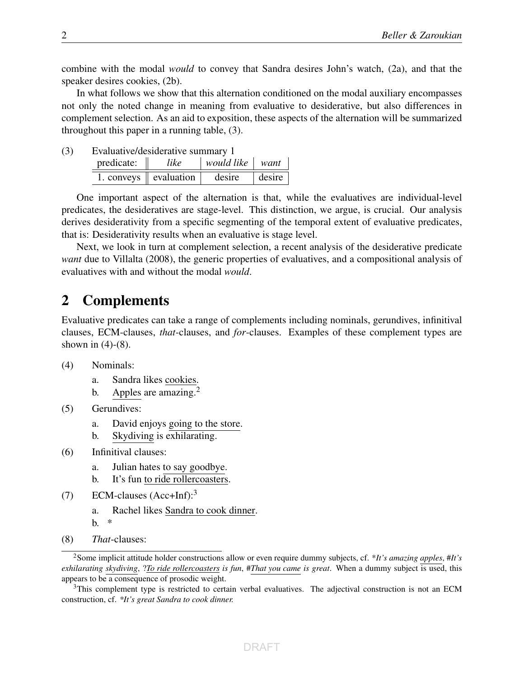combine with the modal *would* to convey that Sandra desires John's watch, (2a), and that the speaker desires cookies, (2b).

In what follows we show that this alternation conditioned on the modal auxiliary encompasses not only the noted change in meaning from evaluative to desiderative, but also differences in complement selection. As an aid to exposition, these aspects of the alternation will be summarized throughout this paper in a running table, (3).

(3) Evaluative/desiderative summary 1

| predicate: | like                              | would like | want   |
|------------|-----------------------------------|------------|--------|
|            | 1. conveys $\parallel$ evaluation | desire     | desire |

One important aspect of the alternation is that, while the evaluatives are individual-level predicates, the desideratives are stage-level. This distinction, we argue, is crucial. Our analysis derives desiderativity from a specific segmenting of the temporal extent of evaluative predicates, that is: Desiderativity results when an evaluative is stage level.

Next, we look in turn at complement selection, a recent analysis of the desiderative predicate *want* due to Villalta (2008), the generic properties of evaluatives, and a compositional analysis of evaluatives with and without the modal *would*.

### 2 Complements

Evaluative predicates can take a range of complements including nominals, gerundives, infinitival clauses, ECM-clauses, *that*-clauses, and *for*-clauses. Examples of these complement types are shown in  $(4)-(8)$ .

- (4) Nominals:
	- a. Sandra likes cookies.
	- b. Apples are amazing. $2$
- (5) Gerundives:
	- a. David enjoys going to the store.
	- b. Skydiving is exhilarating.
- (6) Infinitival clauses:
	- a. Julian hates to say goodbye.
	- b. It's fun to ride rollercoasters.
- (7) ECM-clauses (Acc+Inf):<sup>3</sup>
	- a. Rachel likes Sandra to cook dinner.

b. \*

(8) *That*-clauses:

<sup>3</sup>This complement type is restricted to certain verbal evaluatives. The adjectival construction is not an ECM construction, cf. *\*It's great Sandra to cook dinner.*

<sup>2</sup>Some implicit attitude holder constructions allow or even require dummy subjects, cf. \**It's amazing apples*, #*It's exhilarating skydiving*, ?*To ride rollercoasters is fun*, #*That you came is great*. When a dummy subject is used, this appears to be a consequence of prosodic weight.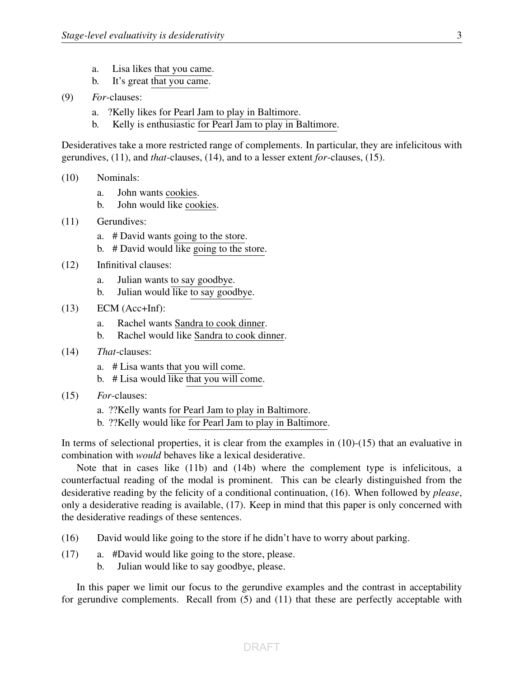- a. Lisa likes that you came.
- b. It's great that you came.
- (9) *For*-clauses:
	- a. ?Kelly likes for Pearl Jam to play in Baltimore.
	- b. Kelly is enthusiastic for Pearl Jam to play in Baltimore.

Desideratives take a more restricted range of complements. In particular, they are infelicitous with gerundives, (11), and *that*-clauses, (14), and to a lesser extent *for*-clauses, (15).

- (10) Nominals:
	- a. John wants cookies.
	- b. John would like cookies.
- (11) Gerundives:
	- a. # David wants going to the store.
	- b. # David would like going to the store.
- (12) Infinitival clauses:
	- a. Julian wants to say goodbye.
	- b. Julian would like to say goodbye.
- $(13)$  ECM  $(Acc+Inf)$ :
	- a. Rachel wants Sandra to cook dinner.
	- b. Rachel would like Sandra to cook dinner.
- (14) *That*-clauses:
	- a. # Lisa wants that you will come.
	- b. # Lisa would like that you will come.
- (15) *For*-clauses:
	- a. ??Kelly wants for Pearl Jam to play in Baltimore.
	- b. ??Kelly would like for Pearl Jam to play in Baltimore.

In terms of selectional properties, it is clear from the examples in (10)-(15) that an evaluative in combination with *would* behaves like a lexical desiderative.

Note that in cases like (11b) and (14b) where the complement type is infelicitous, a counterfactual reading of the modal is prominent. This can be clearly distinguished from the desiderative reading by the felicity of a conditional continuation, (16). When followed by *please*, only a desiderative reading is available, (17). Keep in mind that this paper is only concerned with the desiderative readings of these sentences.

- (16) David would like going to the store if he didn't have to worry about parking.
- (17) a. #David would like going to the store, please.
	- b. Julian would like to say goodbye, please.

In this paper we limit our focus to the gerundive examples and the contrast in acceptability for gerundive complements. Recall from (5) and (11) that these are perfectly acceptable with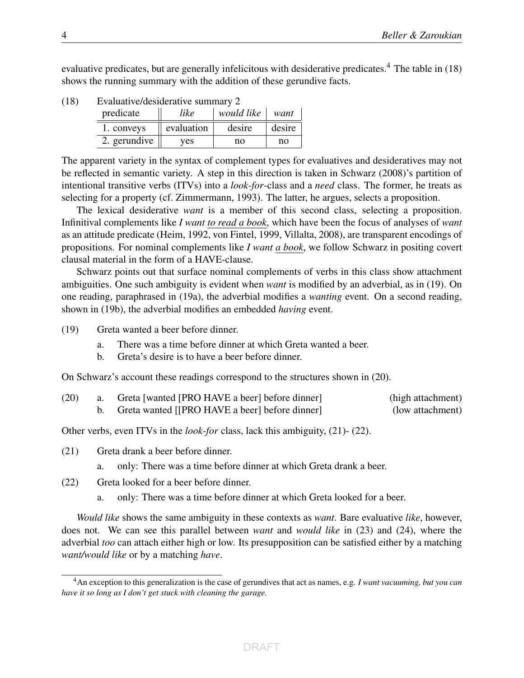evaluative predicates, but are generally infelicitous with desiderative predicates.<sup>4</sup> The table in (18) shows the running summary with the addition of these gerundive facts.

| predicate    | like       | would like | want   |
|--------------|------------|------------|--------|
| 1. conveys   | evaluation | desire     | desire |
| 2. gerundive | ves        | no         | no     |

The apparent variety in the syntax of complement types for evaluatives and desideratives may not be reflected in semantic variety. A step in this direction is taken in Schwarz (2008)'s partition of intentional transitive verbs (ITVs) into a *look-for*-class and a *need* class. The former, he treats as selecting for a property (cf. Zimmermann, 1993). The latter, he argues, selects a proposition.

The lexical desiderative *want* is a member of this second class, selecting a proposition. Infinitival complements like *I want to read a book*, which have been the focus of analyses of *want* as an attitude predicate (Heim, 1992, von Fintel, 1999, Villalta, 2008), are transparent encodings of propositions. For nominal complements like *I want a book*, we follow Schwarz in positing covert clausal material in the form of a HAVE-clause.

Schwarz points out that surface nominal complements of verbs in this class show attachment ambiguities. One such ambiguity is evident when *want* is modified by an adverbial, as in (19). On one reading, paraphrased in (19a), the adverbial modifies a *wanting* event. On a second reading, shown in (19b), the adverbial modifies an embedded *having* event.

(19) Greta wanted a beer before dinner.

- a. There was a time before dinner at which Greta wanted a beer.
- b. Greta's desire is to have a beer before dinner.

On Schwarz's account these readings correspond to the structures shown in (20).

| (20) | Greta [wanted [PRO HAVE a beer] before dinner] | (high attachment) |
|------|------------------------------------------------|-------------------|
|      | Greta wanted [[PRO HAVE a beer] before dinner] | (low attachment)  |

Other verbs, even ITVs in the *look-for* class, lack this ambiguity, (21)- (22).

(21) Greta drank a beer before dinner.

a. only: There was a time before dinner at which Greta drank a beer.

- (22) Greta looked for a beer before dinner.
	- a. only: There was a time before dinner at which Greta looked for a beer.

*Would like* shows the same ambiguity in these contexts as *want*. Bare evaluative *like*, however, does not. We can see this parallel between *want* and *would like* in (23) and (24), where the adverbial *too* can attach either high or low. Its presupposition can be satisfied either by a matching *want/would like* or by a matching *have*.

<sup>4</sup>An exception to this generalization is the case of gerundives that act as names, e.g. *I want vacuuming, but you can have it so long as I don't get stuck with cleaning the garage.*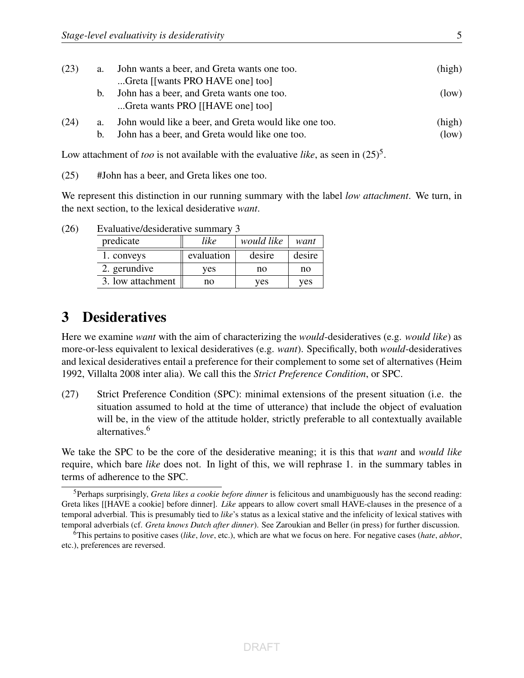| (23) | a.            | John wants a beer, and Greta wants one too.<br>Greta [[wants PRO HAVE one] too]                         | (high)          |
|------|---------------|---------------------------------------------------------------------------------------------------------|-----------------|
|      | $b_{1}$       | John has a beer, and Greta wants one too.<br>Greta wants PRO [[HAVE one] too]                           | (low)           |
| (24) | a.<br>$b_{1}$ | John would like a beer, and Greta would like one too.<br>John has a beer, and Greta would like one too. | (high)<br>(low) |

Low attachment of *too* is not available with the evaluative *like*, as seen in  $(25)^5$ .

(25) #John has a beer, and Greta likes one too.

We represent this distinction in our running summary with the label *low attachment*. We turn, in the next section, to the lexical desiderative *want*.

| $-$ , we wave , we want to well as a contract war , |            |                    |        |  |
|-----------------------------------------------------|------------|--------------------|--------|--|
| predicate                                           | like       | would like<br>want |        |  |
| 1. conveys                                          | evaluation | desire             | desire |  |
| 2. gerundive                                        | ves        | no                 | no     |  |
| 3. low attachment                                   | no         | ves                | ves    |  |

(26) Evaluative/desiderative summary 3

### 3 Desideratives

Here we examine *want* with the aim of characterizing the *would*-desideratives (e.g. *would like*) as more-or-less equivalent to lexical desideratives (e.g. *want*). Specifically, both *would*-desideratives and lexical desideratives entail a preference for their complement to some set of alternatives (Heim 1992, Villalta 2008 inter alia). We call this the *Strict Preference Condition*, or SPC.

(27) Strict Preference Condition (SPC): minimal extensions of the present situation (i.e. the situation assumed to hold at the time of utterance) that include the object of evaluation will be, in the view of the attitude holder, strictly preferable to all contextually available alternatives.6

We take the SPC to be the core of the desiderative meaning; it is this that *want* and *would like* require, which bare *like* does not. In light of this, we will rephrase 1. in the summary tables in terms of adherence to the SPC.

<sup>5</sup>Perhaps surprisingly, *Greta likes a cookie before dinner* is felicitous and unambiguously has the second reading: Greta likes [[HAVE a cookie] before dinner]. *Like* appears to allow covert small HAVE-clauses in the presence of a temporal adverbial. This is presumably tied to *like*'s status as a lexical stative and the infelicity of lexical statives with temporal adverbials (cf. *Greta knows Dutch after dinner*). See Zaroukian and Beller (in press) for further discussion.

<sup>6</sup>This pertains to positive cases (*like*, *love*, etc.), which are what we focus on here. For negative cases (*hate*, *abhor*, etc.), preferences are reversed.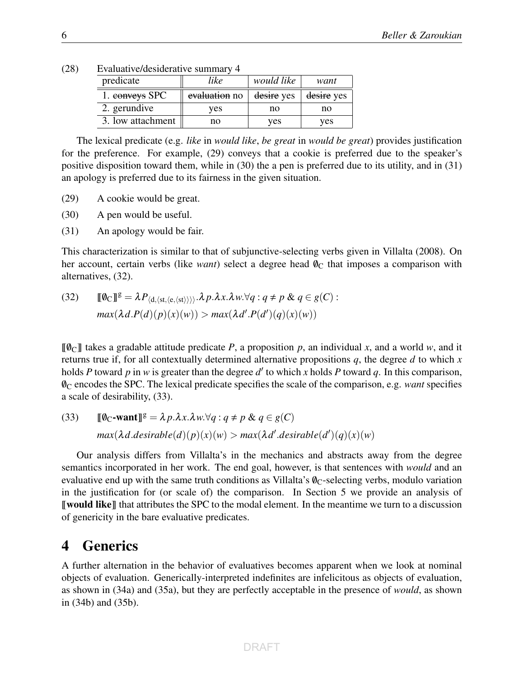| $E$ vaniaity $C$ desnuerative summaty $\pm$ |               |            |            |
|---------------------------------------------|---------------|------------|------------|
| predicate                                   | like          | would like | want       |
| 1. conveys SPC                              | evaluation no | desire yes | desire yes |
| 2. gerundive                                | ves           | no         | no         |
| 3. low attachment                           | no            | ves        | ves        |

(28) Evaluative/desiderative summary 4

The lexical predicate (e.g. *like* in *would like*, *be great* in *would be great*) provides justification for the preference. For example, (29) conveys that a cookie is preferred due to the speaker's positive disposition toward them, while in (30) the a pen is preferred due to its utility, and in (31) an apology is preferred due to its fairness in the given situation.

- (29) A cookie would be great.
- (30) A pen would be useful.
- (31) An apology would be fair.

This characterization is similar to that of subjunctive-selecting verbs given in Villalta (2008). On her account, certain verbs (like *want*) select a degree head  $\mathcal{O}_C$  that imposes a comparison with alternatives, (32).

(32) 
$$
\llbracket \emptyset_C \rrbracket^g = \lambda P_{\langle d, \langle st, \langle e, \langle st \rangle \rangle \rangle} \cdot \lambda p. \lambda x. \lambda w. \forall q : q \neq p \& q \in g(C):
$$

$$
max(\lambda d. P(d)(p)(x)(w)) > max(\lambda d'. P(d')(q)(x)(w))
$$

 $\llbracket \emptyset_{\text{C}} \rrbracket$  takes a gradable attitude predicate *P*, a proposition *p*, an individual *x*, and a world *w*, and it returns true if, for all contextually determined alternative propositions *q*, the degree *d* to which *x* holds *P* toward *p* in *w* is greater than the degree  $d'$  to which *x* holds *P* toward *q*. In this comparison, /0C encodes the SPC. The lexical predicate specifies the scale of the comparison, e.g. *want* specifies a scale of desirability, (33).

(33) 
$$
\llbracket \emptyset_C\text{-want} \rrbracket^g = \lambda p.\lambda x.\lambda w.\forall q : q \neq p \& q \in g(C)
$$

$$
max(\lambda d.d\text{esirable}(d)(p)(x)(w) > max(\lambda d'.\text{desirable}(d')(q)(x)(w))
$$

Our analysis differs from Villalta's in the mechanics and abstracts away from the degree semantics incorporated in her work. The end goal, however, is that sentences with *would* and an evaluative end up with the same truth conditions as Villalta's  $\varnothing$ <sub>C</sub>-selecting verbs, modulo variation in the justification for (or scale of) the comparison. In Section 5 we provide an analysis of **I** would like I that attributes the SPC to the modal element. In the meantime we turn to a discussion of genericity in the bare evaluative predicates.

### 4 Generics

A further alternation in the behavior of evaluatives becomes apparent when we look at nominal objects of evaluation. Generically-interpreted indefinites are infelicitous as objects of evaluation, as shown in (34a) and (35a), but they are perfectly acceptable in the presence of *would*, as shown in (34b) and (35b).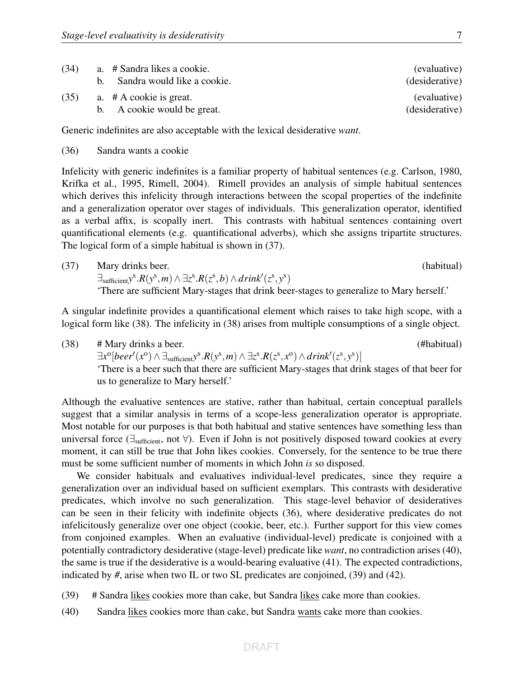| (34) | a. # Sandra likes a cookie.    | (evaluative)   |
|------|--------------------------------|----------------|
|      | b. Sandra would like a cookie. | (desiderative) |
| (35) | a. $# A$ cookie is great.      | (evaluative)   |
|      | b. A cookie would be great.    | (desiderative) |

Generic indefinites are also acceptable with the lexical desiderative *want*.

(36) Sandra wants a cookie

Infelicity with generic indefinites is a familiar property of habitual sentences (e.g. Carlson, 1980, Krifka et al., 1995, Rimell, 2004). Rimell provides an analysis of simple habitual sentences which derives this infelicity through interactions between the scopal properties of the indefinite and a generalization operator over stages of individuals. This generalization operator, identified as a verbal affix, is scopally inert. This contrasts with habitual sentences containing overt quantificational elements (e.g. quantificational adverbs), which she assigns tripartite structures. The logical form of a simple habitual is shown in (37).

(37) Mary drinks beer. (habitual)  $\exists$ sufficient $y^{\mathrm{s}}$ . $R(y^{\mathrm{s}},m) \wedge \exists z^{\mathrm{s}}$ . $R(z^{\mathrm{s}},b) \wedge drink'(z^{\mathrm{s}},y^{\mathrm{s}})$ 'There are sufficient Mary-stages that drink beer-stages to generalize to Mary herself.'

A singular indefinite provides a quantificational element which raises to take high scope, with a logical form like (38). The infelicity in (38) arises from multiple consumptions of a single object.

(38) # Mary drinks a beer. (#habitual)  $\exists x^{\circ}[peer'(x^{\circ}) \land \exists_{\text{suffixient}} y^{\text{s}}. R(y^{\text{s}}, m) \land \exists z^{\text{s}}. R(z^{\text{s}}, x^{\text{o}}) \land drink'(z^{\text{s}}, y^{\text{s}})]$ 'There is a beer such that there are sufficient Mary-stages that drink stages of that beer for us to generalize to Mary herself.'

Although the evaluative sentences are stative, rather than habitual, certain conceptual parallels suggest that a similar analysis in terms of a scope-less generalization operator is appropriate. Most notable for our purposes is that both habitual and stative sentences have something less than universal force (∃<sub>sufficient</sub>, not  $\forall$ ). Even if John is not positively disposed toward cookies at every moment, it can still be true that John likes cookies. Conversely, for the sentence to be true there must be some sufficient number of moments in which John *is* so disposed.

We consider habituals and evaluatives individual-level predicates, since they require a generalization over an individual based on sufficient exemplars. This contrasts with desiderative predicates, which involve no such generalization. This stage-level behavior of desideratives can be seen in their felicity with indefinite objects (36), where desiderative predicates do not infelicitously generalize over one object (cookie, beer, etc.). Further support for this view comes from conjoined examples. When an evaluative (individual-level) predicate is conjoined with a potentially contradictory desiderative (stage-level) predicate like *want*, no contradiction arises (40), the same is true if the desiderative is a would-bearing evaluative (41). The expected contradictions, indicated by *#*, arise when two IL or two SL predicates are conjoined, (39) and (42).

- (39) # Sandra likes cookies more than cake, but Sandra likes cake more than cookies.
- (40) Sandra likes cookies more than cake, but Sandra wants cake more than cookies.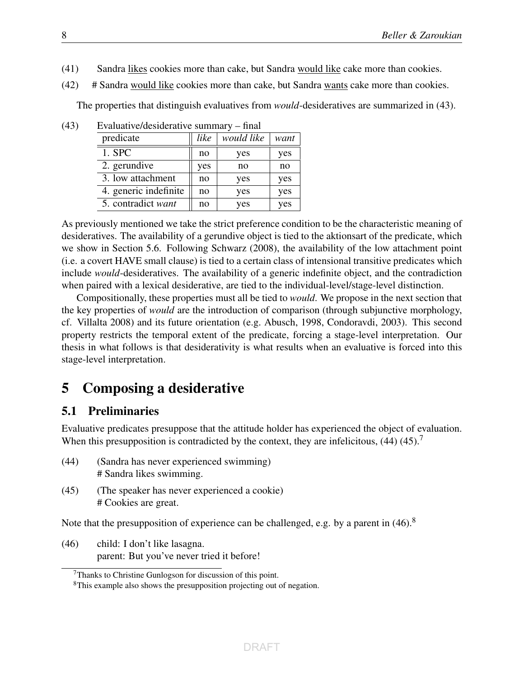- (41) Sandra likes cookies more than cake, but Sandra would like cake more than cookies.
- (42) # Sandra would like cookies more than cake, but Sandra wants cake more than cookies.

The properties that distinguish evaluatives from *would*-desideratives are summarized in (43).

| $-$ , we wave , we want we have , we want the wave |      |            |      |
|----------------------------------------------------|------|------------|------|
| predicate                                          | like | would like | want |
| $1.$ SPC                                           | no   | yes        | yes  |
| 2. gerundive                                       | yes  | no         | no   |
| 3. low attachment                                  | no   | yes        | yes  |
| 4. generic indefinite                              | no   | yes        | yes  |
| 5. contradict want                                 | no   | yes        | yes  |

(43) Evaluative/desiderative summary – final

As previously mentioned we take the strict preference condition to be the characteristic meaning of desideratives. The availability of a gerundive object is tied to the aktionsart of the predicate, which we show in Section 5.6. Following Schwarz (2008), the availability of the low attachment point (i.e. a covert HAVE small clause) is tied to a certain class of intensional transitive predicates which include *would*-desideratives. The availability of a generic indefinite object, and the contradiction when paired with a lexical desiderative, are tied to the individual-level/stage-level distinction.

Compositionally, these properties must all be tied to *would*. We propose in the next section that the key properties of *would* are the introduction of comparison (through subjunctive morphology, cf. Villalta 2008) and its future orientation (e.g. Abusch, 1998, Condoravdi, 2003). This second property restricts the temporal extent of the predicate, forcing a stage-level interpretation. Our thesis in what follows is that desiderativity is what results when an evaluative is forced into this stage-level interpretation.

# 5 Composing a desiderative

#### 5.1 Preliminaries

Evaluative predicates presuppose that the attitude holder has experienced the object of evaluation. When this presupposition is contradicted by the context, they are infelicitous,  $(44)$   $(45)$ .<sup>7</sup>

- (44) (Sandra has never experienced swimming) # Sandra likes swimming.
- (45) (The speaker has never experienced a cookie) # Cookies are great.

Note that the presupposition of experience can be challenged, e.g. by a parent in  $(46)$ .<sup>8</sup>

(46) child: I don't like lasagna. parent: But you've never tried it before!

 $7$ Thanks to Christine Gunlogson for discussion of this point.

<sup>&</sup>lt;sup>8</sup>This example also shows the presupposition projecting out of negation.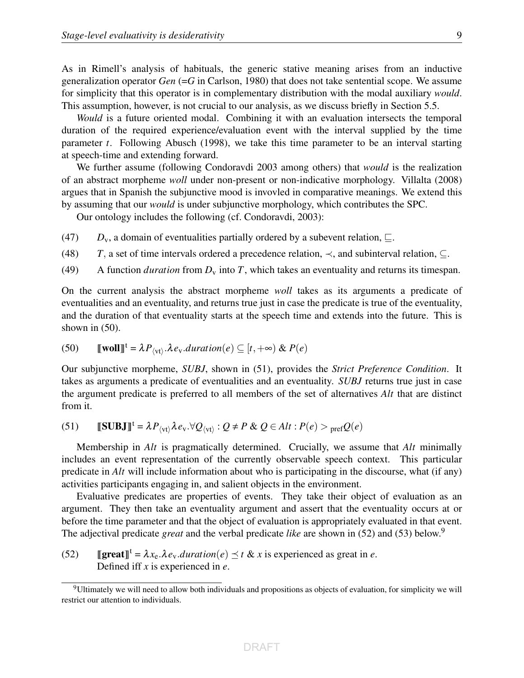As in Rimell's analysis of habituals, the generic stative meaning arises from an inductive generalization operator *Gen* (=*G* in Carlson, 1980) that does not take sentential scope. We assume for simplicity that this operator is in complementary distribution with the modal auxiliary *would*. This assumption, however, is not crucial to our analysis, as we discuss briefly in Section 5.5.

*Would* is a future oriented modal. Combining it with an evaluation intersects the temporal duration of the required experience/evaluation event with the interval supplied by the time parameter *t*. Following Abusch (1998), we take this time parameter to be an interval starting at speech-time and extending forward.

We further assume (following Condoravdi 2003 among others) that *would* is the realization of an abstract morpheme *woll* under non-present or non-indicative morphology. Villalta (2008) argues that in Spanish the subjunctive mood is invovled in comparative meanings. We extend this by assuming that our *would* is under subjunctive morphology, which contributes the SPC.

Our ontology includes the following (cf. Condoravdi, 2003):

- (47)  $D_v$ , a domain of eventualities partially ordered by a subevent relation,  $\sqsubseteq$ .
- (48) *T*, a set of time intervals ordered a precedence relation,  $\prec$ , and subinterval relation,  $\subset$ .
- (49) A function *duration* from  $D_v$  into *T*, which takes an eventuality and returns its timespan.

On the current analysis the abstract morpheme *woll* takes as its arguments a predicate of eventualities and an eventuality, and returns true just in case the predicate is true of the eventuality, and the duration of that eventuality starts at the speech time and extends into the future. This is shown in (50).

(50) 
$$
\llbracket \textbf{woll} \rrbracket^{\text{t}} = \lambda P_{\langle \text{vt} \rangle}. \lambda e_{\text{v}}. duration(e) \subseteq [t, +\infty) \& P(e)
$$

Our subjunctive morpheme, *SUBJ*, shown in (51), provides the *Strict Preference Condition*. It takes as arguments a predicate of eventualities and an eventuality. *SUBJ* returns true just in case the argument predicate is preferred to all members of the set of alternatives *Alt* that are distinct from it.

(51) 
$$
\llbracket \textbf{SUBJ} \rrbracket^t = \lambda P_{\langle \text{vt} \rangle} \lambda e_v. \forall Q_{\langle \text{vt} \rangle} : Q \neq P \& Q \in Alt : P(e) >_{\text{pref}} Q(e)
$$

Membership in *Alt* is pragmatically determined. Crucially, we assume that *Alt* minimally includes an event representation of the currently observable speech context. This particular predicate in *Alt* will include information about who is participating in the discourse, what (if any) activities participants engaging in, and salient objects in the environment.

Evaluative predicates are properties of events. They take their object of evaluation as an argument. They then take an eventuality argument and assert that the eventuality occurs at or before the time parameter and that the object of evaluation is appropriately evaluated in that event. The adjectival predicate *great* and the verbal predicate *like* are shown in (52) and (53) below.9

(52) **If**  $\text{grad} \mathbb{T}^t = \lambda x_e \cdot \lambda e_v$ **.** *duration*(*e*)  $\leq t \& x$  is experienced as great in *e*. Defined iff *x* is experienced in *e*.

<sup>9</sup>Ultimately we will need to allow both individuals and propositions as objects of evaluation, for simplicity we will restrict our attention to individuals.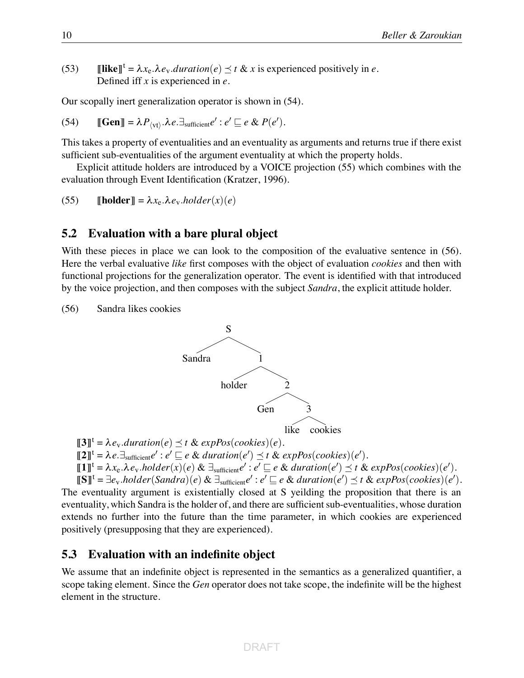(53) **Ilike**<sup><sup>t</sup> =  $\lambda x_e \cdot \lambda e_v$ .*duration*(*e*)  $\leq t \& x$  is experienced positively in *e*.</sup> Defined iff *x* is experienced in *e*.

Our scopally inert generalization operator is shown in (54).

(54) 
$$
\llbracket \mathbf{Gen} \rrbracket = \lambda P_{\langle \mathbf{vt} \rangle} \cdot \lambda e. \exists_{\text{sufficient}} e' : e' \sqsubseteq e \& P(e').
$$

This takes a property of eventualities and an eventuality as arguments and returns true if there exist sufficient sub-eventualities of the argument eventuality at which the property holds.

Explicit attitude holders are introduced by a VOICE projection (55) which combines with the evaluation through Event Identification (Kratzer, 1996).

(55) **[holder]** = 
$$
\lambda x_e \cdot \lambda e_v \cdot \text{holder}(x)(e)
$$

#### **5.2 Evaluation with a bare plural object**

With these pieces in place we can look to the composition of the evaluative sentence in (56). Here the verbal evaluative *like* first composes with the object of evaluation *cookies* and then with functional projections for the generalization operator. The event is identified with that introduced by the voice projection, and then composes with the subject *Sandra*, the explicit attitude holder.

(56) Sandra likes cookies



$$
\llbracket 3 \rrbracket^t = \lambda e_v. duration(e) \preceq t \& \expPos(cookies)(e).
$$

 $[\![2]\!]^t = \lambda e \cdot \exists_{\text{surface}} e' : e' \sqsubseteq e \& duration(e') \preceq t \& expPos(cookies)(e').$ 

$$
\llbracket \mathbf{1} \rrbracket^t = \lambda x_e. \lambda e_v. \text{holder}(x)(e) \& \exists_{\text{surface}} e' : e' \sqsubseteq e \& duration(e') \preceq t \& expPos(cookies)(e').
$$

 $\llbracket \mathbf{S} \rrbracket^{\mathsf{t}} = \exists e_v \text{.holder}(\text{Sandra})(e) \& \exists_{\text{surface}} e' : e' \sqsubseteq e \& duration(e') \preceq t \& expPos(cookies)(e').$ The eventuality argument is existentially closed at S yeilding the proposition that there is an eventuality, which Sandra is the holder of, and there are sufficient sub-eventualities, whose duration extends no further into the future than the time parameter, in which cookies are experienced positively (presupposing that they are experienced).

#### **5.3 Evaluation with an indefinite object**

We assume that an indefinite object is represented in the semantics as a generalized quantifier, a scope taking element. Since the *Gen* operator does not take scope, the indefinite will be the highest element in the structure.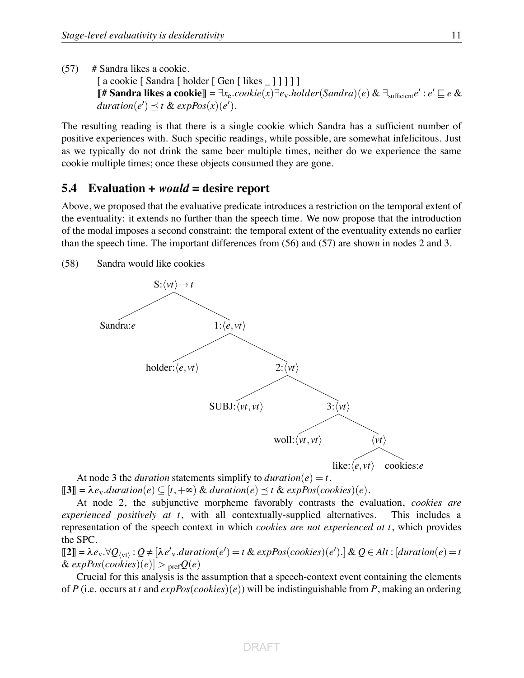$(57)$  # Sandra likes a cookie.

[ a cookie [ Sandra [ holder [ Gen [ likes \_ ] ] ] ]] **[# Sandra likes a cookie]]** =  $\exists x_e \text{.} cookie(x) \exists e_v \text{.} holder(Sandra)(e) \& \exists_{\text{suffixient}} e' : e' \sqsubseteq e \&$  $duration(e') \leq t \& expPos(x)(e').$ 

The resulting reading is that there is a single cookie which Sandra has a sufficient number of positive experiences with. Such specific readings, while possible, are somewhat infelicitous. Just as we typically do not drink the same beer multiple times, neither do we experience the same cookie multiple times; once these objects consumed they are gone.

#### **5.4 Evaluation +** *would* **= desire report**

Above, we proposed that the evaluative predicate introduces a restriction on the temporal extent of the eventuality: it extends no further than the speech time. We now propose that the introduction of the modal imposes a second constraint: the temporal extent of the eventuality extends no earlier than the speech time. The important differences from (56) and (57) are shown in nodes 2 and 3.

(58) Sandra would like cookies



At node 3 the *duration* statements simplify to *duration*( $e$ ) =  $t$ .  $[\![3]\!] = \lambda e_v$ .*duration*(*e*)  $\subseteq$  [*t*,  $+\infty$ ) & *duration*(*e*)  $\preceq$  *t* & *expPos*(*cookies*)(*e*).

At node 2, the subjunctive morpheme favorably contrasts the evaluation, *cookies are experienced positively at t*, with all contextually-supplied alternatives. This includes a representation of the speech context in which *cookies are not experienced at t*, which provides the SPC.

 $[\![2]\!] = \lambda e_v \cdot \forall Q_{\langle vt \rangle} : Q \neq [\lambda e_v' \cdot duration(e') = t \& \expPos(cookies)(e') \cdot] \& Q \in Alt : [duration(e) = t]$  $\&$  *expPos(cookies)*(*e)*] > <sub>pref</sub> $Q(e)$ 

Crucial for this analysis is the assumption that a speech-context event containing the elements of *P* (i.e. occurs at *t* and *expPos*(*cookies*)(*e*)) will be indistinguishable from *P*, making an ordering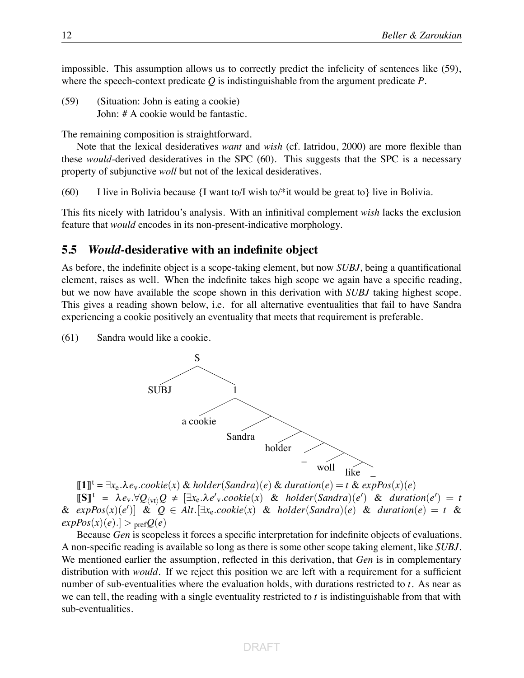impossible. This assumption allows us to correctly predict the infelicity of sentences like (59), where the speech-context predicate *Q* is indistinguishable from the argument predicate *P*.

(59) (Situation: John is eating a cookie) John: # A cookie would be fantastic.

The remaining composition is straightforward.

Note that the lexical desideratives *want* and *wish* (cf. Iatridou, 2000) are more flexible than these *would*-derived desideratives in the SPC (60). This suggests that the SPC is a necessary property of subjunctive *woll* but not of the lexical desideratives.

(60) I live in Bolivia because  $\{I$  want to *I* wish to  $\ast$  it would be great to  $\}$  live in Bolivia.

This fits nicely with Iatridou's analysis. With an infinitival complement *wish* lacks the exclusion feature that *would* encodes in its non-present-indicative morphology.

#### **5.5** *Would***-desiderative with an indefinite object**

As before, the indefinite object is a scope-taking element, but now *SUBJ*, being a quantificational element, raises as well. When the indefinite takes high scope we again have a specific reading, but we now have available the scope shown in this derivation with *SUBJ* taking highest scope. This gives a reading shown below, i.e. for all alternative eventualities that fail to have Sandra experiencing a cookie positively an eventuality that meets that requirement is preferable.

(61) Sandra would like a cookie.



!**1**"<sup>t</sup> <sup>=</sup> <sup>∃</sup>*x*e.!*e*v.*cookie*(*x*) & *holder*(*Sandra*)(*e*) & *duration*(*e*) = *<sup>t</sup>* & *expPos*(*x*)(*e*)  $[\![\mathbf{S}]\!]^{\mathsf{t}} = \lambda e_v \cdot \forall Q_{\langle \mathsf{vt} \rangle} Q \neq [\exists x_e. \lambda e'_v \cdot cookie(x) \& holder(Sandra)(e') \& duration(e') = t$ & *expPos*(*x*)(*e*% )] & *Q* ∈ *Alt*.[∃*x*e.*cookie*(*x*) & *holder*(*Sandra*)(*e*) & *duration*(*e*) = *t* &  $expPos(x)(e).] > prefQ(e)$ 

Because *Gen* is scopeless it forces a specific interpretation for indefinite objects of evaluations. A non-specific reading is available so long as there is some other scope taking element, like *SUBJ*. We mentioned earlier the assumption, reflected in this derivation, that *Gen* is in complementary distribution with *would*. If we reject this position we are left with a requirement for a sufficient number of sub-eventualities where the evaluation holds, with durations restricted to *t*. As near as we can tell, the reading with a single eventuality restricted to *t* is indistinguishable from that with sub-eventualities.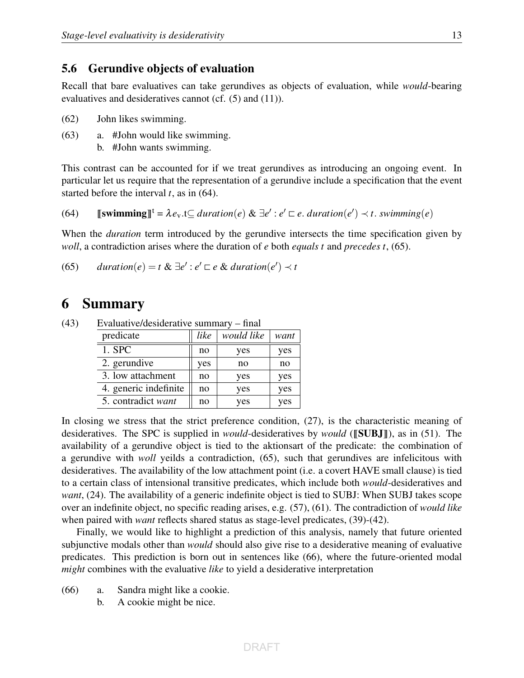#### 5.6 Gerundive objects of evaluation

Recall that bare evaluatives can take gerundives as objects of evaluation, while *would*-bearing evaluatives and desideratives cannot (cf. (5) and (11)).

- (62) John likes swimming.
- (63) a. #John would like swimming.
	- b. #John wants swimming.

This contrast can be accounted for if we treat gerundives as introducing an ongoing event. In particular let us require that the representation of a gerundive include a specification that the event started before the interval *t*, as in (64).

(64) 
$$
\llbracket \mathbf{swimming} \rrbracket^t = \lambda e_v. t \subseteq duration(e) \& \exists e' : e' \sqsubset e. \ duration(e') \prec t. \ swimming(e)
$$

When the *duration* term introduced by the gerundive intersects the time specification given by *woll*, a contradiction arises where the duration of *e* both *equals t* and *precedes t*, (65).

(65) *duration* $(e) = t \& \exists e' : e' \sqsubset e \& duration(e') \prec t$ 

### 6 Summary

| predicate             | like | would like | want |
|-----------------------|------|------------|------|
| $1.$ SPC              | no   | yes        | yes  |
| 2. gerundive          | yes  | no         | no   |
| 3. low attachment     | no   | yes        | yes  |
| 4. generic indefinite | no   | yes        | yes  |
| 5. contradict want    | no   | yes        | yes  |

(43) Evaluative/desiderative summary – final

In closing we stress that the strict preference condition, (27), is the characteristic meaning of desideratives. The SPC is supplied in *would*-desideratives by *would* ([SUBJ]), as in (51). The availability of a gerundive object is tied to the aktionsart of the predicate: the combination of a gerundive with *woll* yeilds a contradiction, (65), such that gerundives are infelicitous with desideratives. The availability of the low attachment point (i.e. a covert HAVE small clause) is tied to a certain class of intensional transitive predicates, which include both *would*-desideratives and *want*, (24). The availability of a generic indefinite object is tied to SUBJ: When SUBJ takes scope over an indefinite object, no specific reading arises, e.g. (57), (61). The contradiction of *would like* when paired with *want* reflects shared status as stage-level predicates, (39)-(42).

Finally, we would like to highlight a prediction of this analysis, namely that future oriented subjunctive modals other than *would* should also give rise to a desiderative meaning of evaluative predicates. This prediction is born out in sentences like (66), where the future-oriented modal *might* combines with the evaluative *like* to yield a desiderative interpretation

- (66) a. Sandra might like a cookie.
	- b. A cookie might be nice.